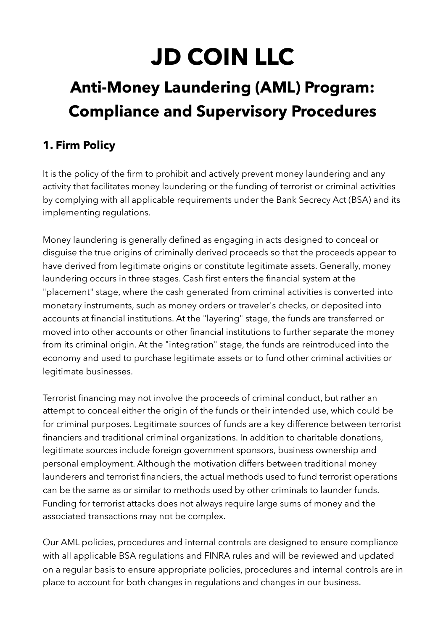# **JD COIN LLC**

## **Anti-Money Laundering (AML) Program: Compliance and Supervisory Procedures**

## **1. Firm Policy**

It is the policy of the firm to prohibit and actively prevent money laundering and any activity that facilitates money laundering or the funding of terrorist or criminal activities by complying with all applicable requirements under the Bank Secrecy Act (BSA) and its implementing regulations.

Money laundering is generally defined as engaging in acts designed to conceal or disguise the true origins of criminally derived proceeds so that the proceeds appear to have derived from legitimate origins or constitute legitimate assets. Generally, money laundering occurs in three stages. Cash first enters the financial system at the "placement" stage, where the cash generated from criminal activities is converted into monetary instruments, such as money orders or traveler's checks, or deposited into accounts at financial institutions. At the "layering" stage, the funds are transferred or moved into other accounts or other financial institutions to further separate the money from its criminal origin. At the "integration" stage, the funds are reintroduced into the economy and used to purchase legitimate assets or to fund other criminal activities or legitimate businesses.

Terrorist financing may not involve the proceeds of criminal conduct, but rather an attempt to conceal either the origin of the funds or their intended use, which could be for criminal purposes. Legitimate sources of funds are a key difference between terrorist financiers and traditional criminal organizations. In addition to charitable donations, legitimate sources include foreign government sponsors, business ownership and personal employment. Although the motivation differs between traditional money launderers and terrorist financiers, the actual methods used to fund terrorist operations can be the same as or similar to methods used by other criminals to launder funds. Funding for terrorist attacks does not always require large sums of money and the associated transactions may not be complex.

Our AML policies, procedures and internal controls are designed to ensure compliance with all applicable BSA regulations and FINRA rules and will be reviewed and updated on a regular basis to ensure appropriate policies, procedures and internal controls are in place to account for both changes in regulations and changes in our business.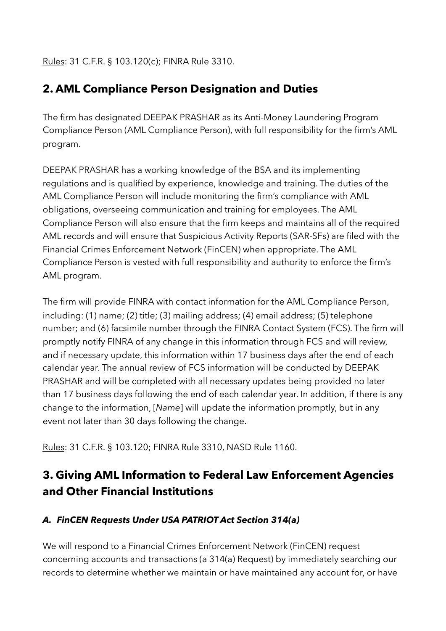Rules: 31 C.F.R. § 103.120(c); FINRA Rule 3310.

## **2. AML Compliance Person Designation and Duties**

The firm has designated DEEPAK PRASHAR as its Anti-Money Laundering Program Compliance Person (AML Compliance Person), with full responsibility for the firm's AML program.

DEEPAK PRASHAR has a working knowledge of the BSA and its implementing regulations and is qualified by experience, knowledge and training. The duties of the AML Compliance Person will include monitoring the firm's compliance with AML obligations, overseeing communication and training for employees. The AML Compliance Person will also ensure that the firm keeps and maintains all of the required AML records and will ensure that Suspicious Activity Reports (SAR-SFs) are filed with the Financial Crimes Enforcement Network (FinCEN) when appropriate. The AML Compliance Person is vested with full responsibility and authority to enforce the firm's AML program.

The firm will provide FINRA with contact information for the AML Compliance Person, including: (1) name; (2) title; (3) mailing address; (4) email address; (5) telephone number; and (6) facsimile number through the FINRA Contact System (FCS). The firm will promptly notify FINRA of any change in this information through FCS and will review, and if necessary update, this information within 17 business days after the end of each calendar year. The annual review of FCS information will be conducted by DEEPAK PRASHAR and will be completed with all necessary updates being provided no later than 17 business days following the end of each calendar year. In addition, if there is any change to the information, [*Name*] will update the information promptly, but in any event not later than 30 days following the change.

Rules: 31 C.F.R. § 103.120; FINRA Rule 3310, NASD Rule 1160.

## **3. Giving AML Information to Federal Law Enforcement Agencies and Other Financial Institutions**

#### *A. FinCEN Requests Under USA PATRIOT Act Section 314(a)*

We will respond to a Financial Crimes Enforcement Network (FinCEN) request concerning accounts and transactions (a 314(a) Request) by immediately searching our records to determine whether we maintain or have maintained any account for, or have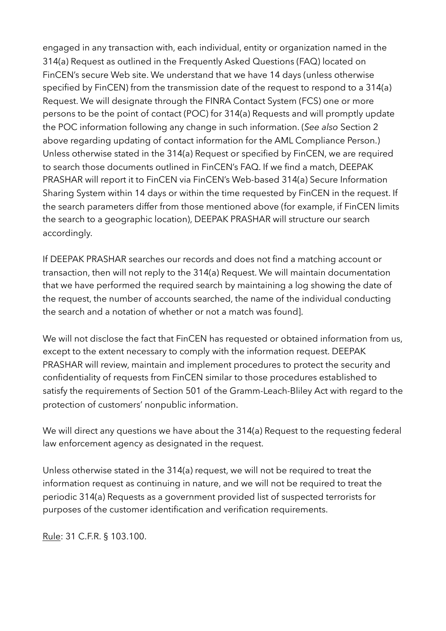engaged in any transaction with, each individual, entity or organization named in the 314(a) Request as outlined in the Frequently Asked Questions (FAQ) located on FinCEN's secure Web site. We understand that we have 14 days (unless otherwise specified by FinCEN) from the transmission date of the request to respond to a 314(a) Request. We will designate through the FINRA Contact System (FCS) one or more persons to be the point of contact (POC) for 314(a) Requests and will promptly update the POC information following any change in such information. (*See also* Section 2 above regarding updating of contact information for the AML Compliance Person.) Unless otherwise stated in the 314(a) Request or specified by FinCEN, we are required to search those documents outlined in FinCEN's FAQ. If we find a match, DEEPAK PRASHAR will report it to FinCEN via FinCEN's Web-based 314(a) Secure Information Sharing System within 14 days or within the time requested by FinCEN in the request. If the search parameters differ from those mentioned above (for example, if FinCEN limits the search to a geographic location), DEEPAK PRASHAR will structure our search accordingly.

If DEEPAK PRASHAR searches our records and does not find a matching account or transaction, then will not reply to the 314(a) Request. We will maintain documentation that we have performed the required search by maintaining a log showing the date of the request, the number of accounts searched, the name of the individual conducting the search and a notation of whether or not a match was found].

We will not disclose the fact that FinCEN has requested or obtained information from us, except to the extent necessary to comply with the information request. DEEPAK PRASHAR will review, maintain and implement procedures to protect the security and confidentiality of requests from FinCEN similar to those procedures established to satisfy the requirements of Section 501 of the Gramm-Leach-Bliley Act with regard to the protection of customers' nonpublic information.

We will direct any questions we have about the 314(a) Request to the requesting federal law enforcement agency as designated in the request.

Unless otherwise stated in the 314(a) request, we will not be required to treat the information request as continuing in nature, and we will not be required to treat the periodic 314(a) Requests as a government provided list of suspected terrorists for purposes of the customer identification and verification requirements.

Rule: 31 C.F.R. § 103.100.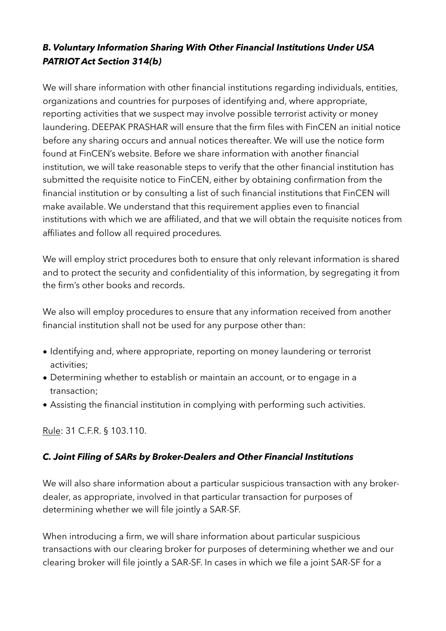#### *B. Voluntary Information Sharing With Other Financial Institutions Under USA PATRIOT Act Section 314(b)*

We will share information with other financial institutions regarding individuals, entities, organizations and countries for purposes of identifying and, where appropriate, reporting activities that we suspect may involve possible terrorist activity or money laundering. DEEPAK PRASHAR will ensure that the firm files with FinCEN an initial notice before any sharing occurs and annual notices thereafter. We will use the notice form found at FinCEN's website. Before we share information with another financial institution, we will take reasonable steps to verify that the other financial institution has submitted the requisite notice to FinCEN, either by obtaining confirmation from the financial institution or by consulting a list of such financial institutions that FinCEN will make available. We understand that this requirement applies even to financial institutions with which we are affiliated, and that we will obtain the requisite notices from affiliates and follow all required procedures*.*

We will employ strict procedures both to ensure that only relevant information is shared and to protect the security and confidentiality of this information, by segregating it from the firm's other books and records.

We also will employ procedures to ensure that any information received from another financial institution shall not be used for any purpose other than:

- Identifying and, where appropriate, reporting on money laundering or terrorist activities;
- Determining whether to establish or maintain an account, or to engage in a transaction;
- Assisting the financial institution in complying with performing such activities.

Rule: 31 C.F.R. § 103.110.

#### *C. Joint Filing of SARs by Broker-Dealers and Other Financial Institutions*

We will also share information about a particular suspicious transaction with any brokerdealer, as appropriate, involved in that particular transaction for purposes of determining whether we will file jointly a SAR-SF.

When introducing a firm, we will share information about particular suspicious transactions with our clearing broker for purposes of determining whether we and our clearing broker will file jointly a SAR-SF. In cases in which we file a joint SAR-SF for a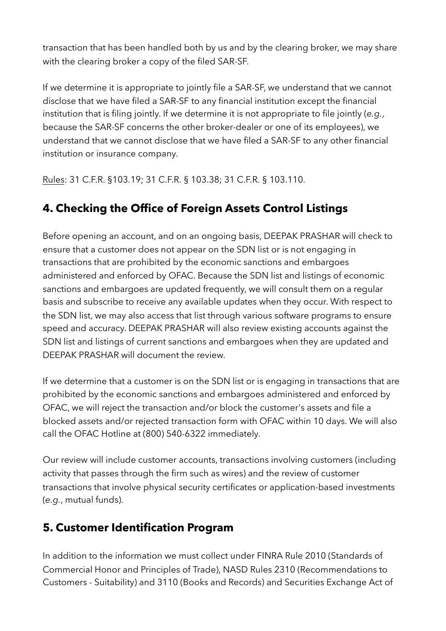transaction that has been handled both by us and by the clearing broker, we may share with the clearing broker a copy of the filed SAR-SF.

If we determine it is appropriate to jointly file a SAR-SF, we understand that we cannot disclose that we have filed a SAR-SF to any financial institution except the financial institution that is filing jointly. If we determine it is not appropriate to file jointly (*e.g.*, because the SAR-SF concerns the other broker-dealer or one of its employees), we understand that we cannot disclose that we have filed a SAR-SF to any other financial institution or insurance company.

Rules: 31 C.F.R. §103.19; 31 C.F.R. § 103.38; 31 C.F.R. § 103.110.

## **4. Checking the Office of Foreign Assets Control Listings**

Before opening an account, and on an ongoing basis, DEEPAK PRASHAR will check to ensure that a customer does not appear on the SDN list or is not engaging in transactions that are prohibited by the economic sanctions and embargoes administered and enforced by OFAC. Because the SDN list and listings of economic sanctions and embargoes are updated frequently, we will consult them on a regular basis and subscribe to receive any available updates when they occur. With respect to the SDN list, we may also access that list through various software programs to ensure speed and accuracy. DEEPAK PRASHAR will also review existing accounts against the SDN list and listings of current sanctions and embargoes when they are updated and DEEPAK PRASHAR will document the review.

If we determine that a customer is on the SDN list or is engaging in transactions that are prohibited by the economic sanctions and embargoes administered and enforced by OFAC, we will reject the transaction and/or block the customer's assets and file a blocked assets and/or rejected transaction form with OFAC within 10 days. We will also call the OFAC Hotline at (800) 540-6322 immediately.

Our review will include customer accounts, transactions involving customers (including activity that passes through the firm such as wires) and the review of customer transactions that involve physical security certificates or application-based investments (*e.g.*, mutual funds).

## **5. Customer Identification Program**

In addition to the information we must collect under FINRA Rule 2010 (Standards of Commercial Honor and Principles of Trade), NASD Rules 2310 (Recommendations to Customers - Suitability) and 3110 (Books and Records) and Securities Exchange Act of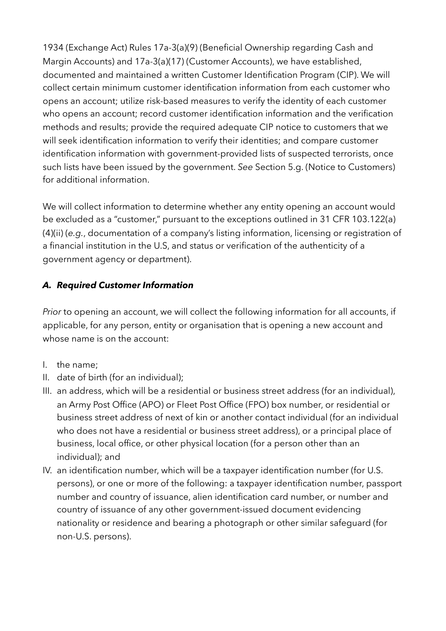1934 (Exchange Act) Rules 17a-3(a)(9) (Beneficial Ownership regarding Cash and Margin Accounts) and 17a-3(a)(17) (Customer Accounts), we have established, documented and maintained a written Customer Identification Program (CIP). We will collect certain minimum customer identification information from each customer who opens an account; utilize risk-based measures to verify the identity of each customer who opens an account; record customer identification information and the verification methods and results; provide the required adequate CIP notice to customers that we will seek identification information to verify their identities; and compare customer identification information with government-provided lists of suspected terrorists, once such lists have been issued by the government. *See* Section 5.g. (Notice to Customers) for additional information.

We will collect information to determine whether any entity opening an account would be excluded as a "customer," pursuant to the exceptions outlined in 31 CFR 103.122(a) (4)(ii) (*e.g.*, documentation of a company's listing information, licensing or registration of a financial institution in the U.S, and status or verification of the authenticity of a government agency or department).

#### *A. Required Customer Information*

*Prior* to opening an account, we will collect the following information for all accounts, if applicable, for any person, entity or organisation that is opening a new account and whose name is on the account:

- I. the name;
- II. date of birth (for an individual);
- III. an address, which will be a residential or business street address (for an individual), an Army Post Office (APO) or Fleet Post Office (FPO) box number, or residential or business street address of next of kin or another contact individual (for an individual who does not have a residential or business street address), or a principal place of business, local office, or other physical location (for a person other than an individual); and
- IV. an identification number, which will be a taxpayer identification number (for U.S. persons), or one or more of the following: a taxpayer identification number, passport number and country of issuance, alien identification card number, or number and country of issuance of any other government-issued document evidencing nationality or residence and bearing a photograph or other similar safeguard (for non-U.S. persons).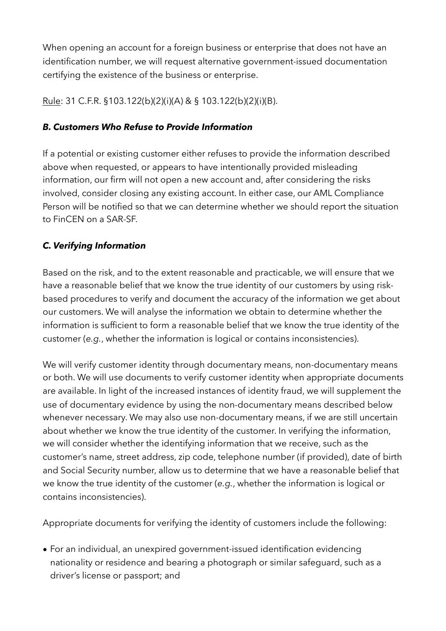When opening an account for a foreign business or enterprise that does not have an identification number, we will request alternative government-issued documentation certifying the existence of the business or enterprise.

Rule: 31 C.F.R. §103.122(b)(2)(i)(A) & § 103.122(b)(2)(i)(B).

#### *B. Customers Who Refuse to Provide Information*

If a potential or existing customer either refuses to provide the information described above when requested, or appears to have intentionally provided misleading information, our firm will not open a new account and, after considering the risks involved, consider closing any existing account. In either case, our AML Compliance Person will be notified so that we can determine whether we should report the situation to FinCEN on a SAR-SF.

#### *C. Verifying Information*

Based on the risk, and to the extent reasonable and practicable, we will ensure that we have a reasonable belief that we know the true identity of our customers by using riskbased procedures to verify and document the accuracy of the information we get about our customers. We will analyse the information we obtain to determine whether the information is sufficient to form a reasonable belief that we know the true identity of the customer (*e.g.*, whether the information is logical or contains inconsistencies).

We will verify customer identity through documentary means, non-documentary means or both. We will use documents to verify customer identity when appropriate documents are available. In light of the increased instances of identity fraud, we will supplement the use of documentary evidence by using the non-documentary means described below whenever necessary. We may also use non-documentary means, if we are still uncertain about whether we know the true identity of the customer. In verifying the information, we will consider whether the identifying information that we receive, such as the customer's name, street address, zip code, telephone number (if provided), date of birth and Social Security number, allow us to determine that we have a reasonable belief that we know the true identity of the customer (*e.g.*, whether the information is logical or contains inconsistencies).

Appropriate documents for verifying the identity of customers include the following:

• For an individual, an unexpired government-issued identification evidencing nationality or residence and bearing a photograph or similar safeguard, such as a driver's license or passport; and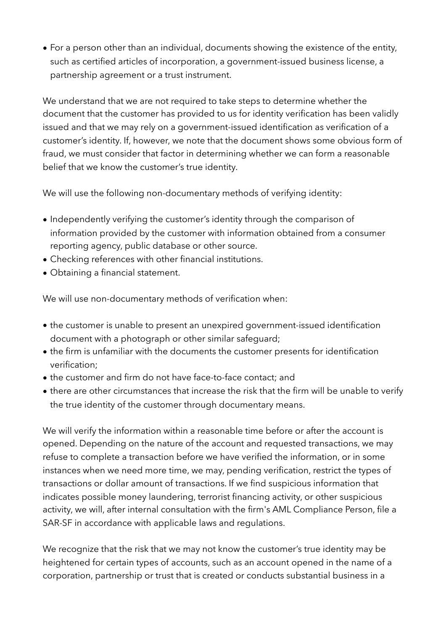• For a person other than an individual, documents showing the existence of the entity, such as certified articles of incorporation, a government-issued business license, a partnership agreement or a trust instrument.

We understand that we are not required to take steps to determine whether the document that the customer has provided to us for identity verification has been validly issued and that we may rely on a government-issued identification as verification of a customer's identity. If, however, we note that the document shows some obvious form of fraud, we must consider that factor in determining whether we can form a reasonable belief that we know the customer's true identity.

We will use the following non-documentary methods of verifying identity:

- Independently verifying the customer's identity through the comparison of information provided by the customer with information obtained from a consumer reporting agency, public database or other source.
- Checking references with other financial institutions.
- Obtaining a financial statement.

We will use non-documentary methods of verification when:

- the customer is unable to present an unexpired government-issued identification document with a photograph or other similar safeguard;
- the firm is unfamiliar with the documents the customer presents for identification verification;
- the customer and firm do not have face-to-face contact; and
- there are other circumstances that increase the risk that the firm will be unable to verify the true identity of the customer through documentary means.

We will verify the information within a reasonable time before or after the account is opened. Depending on the nature of the account and requested transactions, we may refuse to complete a transaction before we have verified the information, or in some instances when we need more time, we may, pending verification, restrict the types of transactions or dollar amount of transactions. If we find suspicious information that indicates possible money laundering, terrorist financing activity, or other suspicious activity, we will, after internal consultation with the firm's AML Compliance Person, file a SAR-SF in accordance with applicable laws and regulations.

We recognize that the risk that we may not know the customer's true identity may be heightened for certain types of accounts, such as an account opened in the name of a corporation, partnership or trust that is created or conducts substantial business in a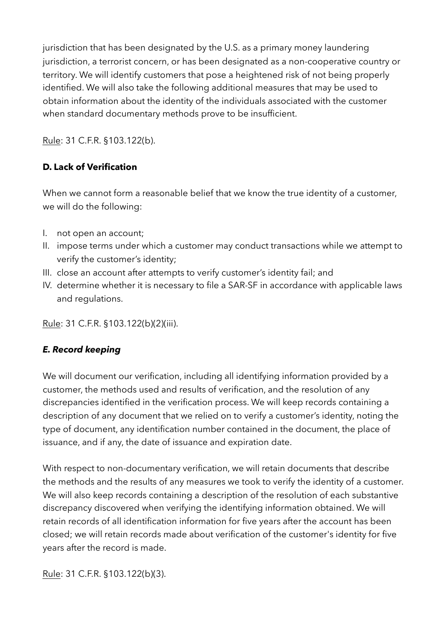jurisdiction that has been designated by the U.S. as a primary money laundering jurisdiction, a terrorist concern, or has been designated as a non-cooperative country or territory. We will identify customers that pose a heightened risk of not being properly identified. We will also take the following additional measures that may be used to obtain information about the identity of the individuals associated with the customer when standard documentary methods prove to be insufficient.

Rule: 31 C.F.R. §103.122(b).

#### **D. Lack of Verification**

When we cannot form a reasonable belief that we know the true identity of a customer. we will do the following:

- I. not open an account;
- II. impose terms under which a customer may conduct transactions while we attempt to verify the customer's identity;
- III. close an account after attempts to verify customer's identity fail; and
- IV. determine whether it is necessary to file a SAR-SF in accordance with applicable laws and regulations.

Rule: 31 C.F.R. §103.122(b)(2)(iii).

#### *E. Record keeping*

We will document our verification, including all identifying information provided by a customer, the methods used and results of verification, and the resolution of any discrepancies identified in the verification process. We will keep records containing a description of any document that we relied on to verify a customer's identity, noting the type of document, any identification number contained in the document, the place of issuance, and if any, the date of issuance and expiration date.

With respect to non-documentary verification, we will retain documents that describe the methods and the results of any measures we took to verify the identity of a customer. We will also keep records containing a description of the resolution of each substantive discrepancy discovered when verifying the identifying information obtained. We will retain records of all identification information for five years after the account has been closed; we will retain records made about verification of the customer's identity for five years after the record is made.

Rule: 31 C.F.R. §103.122(b)(3).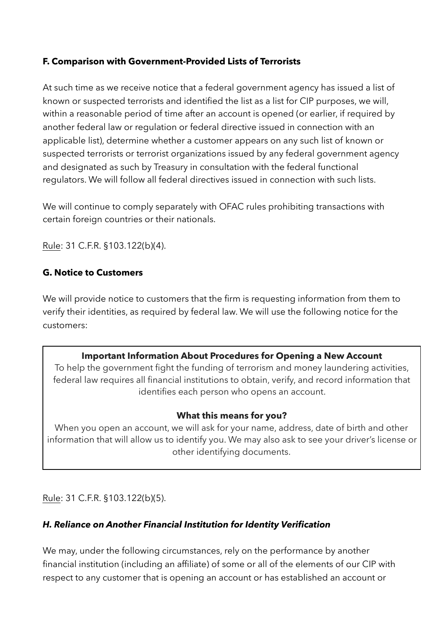#### **F. Comparison with Government-Provided Lists of Terrorists**

At such time as we receive notice that a federal government agency has issued a list of known or suspected terrorists and identified the list as a list for CIP purposes, we will, within a reasonable period of time after an account is opened (or earlier, if required by another federal law or regulation or federal directive issued in connection with an applicable list), determine whether a customer appears on any such list of known or suspected terrorists or terrorist organizations issued by any federal government agency and designated as such by Treasury in consultation with the federal functional regulators. We will follow all federal directives issued in connection with such lists.

We will continue to comply separately with OFAC rules prohibiting transactions with certain foreign countries or their nationals.

Rule: 31 C.F.R. §103.122(b)(4).

#### **G. Notice to Customers**

We will provide notice to customers that the firm is requesting information from them to verify their identities, as required by federal law. We will use the following notice for the customers:

#### **Important Information About Procedures for Opening a New Account**

To help the government fight the funding of terrorism and money laundering activities, federal law requires all financial institutions to obtain, verify, and record information that identifies each person who opens an account.

#### **What this means for you?**

When you open an account, we will ask for your name, address, date of birth and other information that will allow us to identify you. We may also ask to see your driver's license or other identifying documents.

Rule: 31 C.F.R. §103.122(b)(5).

#### *H. Reliance on Another Financial Institution for Identity Verification*

We may, under the following circumstances, rely on the performance by another financial institution (including an affiliate) of some or all of the elements of our CIP with respect to any customer that is opening an account or has established an account or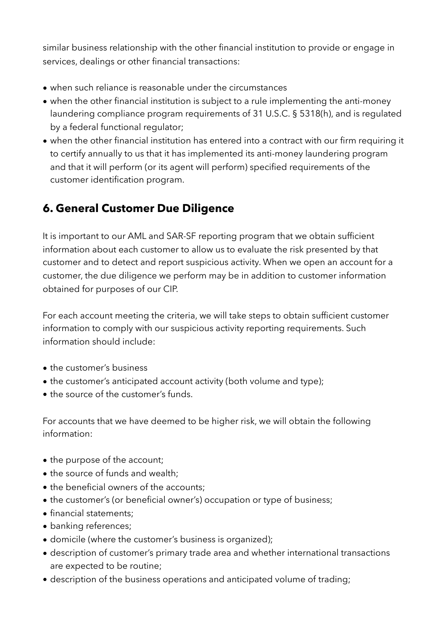similar business relationship with the other financial institution to provide or engage in services, dealings or other financial transactions:

- when such reliance is reasonable under the circumstances
- when the other financial institution is subject to a rule implementing the anti-money laundering compliance program requirements of 31 U.S.C. § 5318(h), and is regulated by a federal functional regulator;
- when the other financial institution has entered into a contract with our firm requiring it to certify annually to us that it has implemented its anti-money laundering program and that it will perform (or its agent will perform) specified requirements of the customer identification program.

## **6. General Customer Due Diligence**

It is important to our AML and SAR-SF reporting program that we obtain sufficient information about each customer to allow us to evaluate the risk presented by that customer and to detect and report suspicious activity. When we open an account for a customer, the due diligence we perform may be in addition to customer information obtained for purposes of our CIP.

For each account meeting the criteria, we will take steps to obtain sufficient customer information to comply with our suspicious activity reporting requirements. Such information should include:

- the customer's business
- the customer's anticipated account activity (both volume and type);
- the source of the customer's funds.

For accounts that we have deemed to be higher risk, we will obtain the following information:

- the purpose of the account;
- the source of funds and wealth;
- the beneficial owners of the accounts;
- the customer's (or beneficial owner's) occupation or type of business;
- financial statements;
- banking references;
- domicile (where the customer's business is organized);
- description of customer's primary trade area and whether international transactions are expected to be routine;
- description of the business operations and anticipated volume of trading;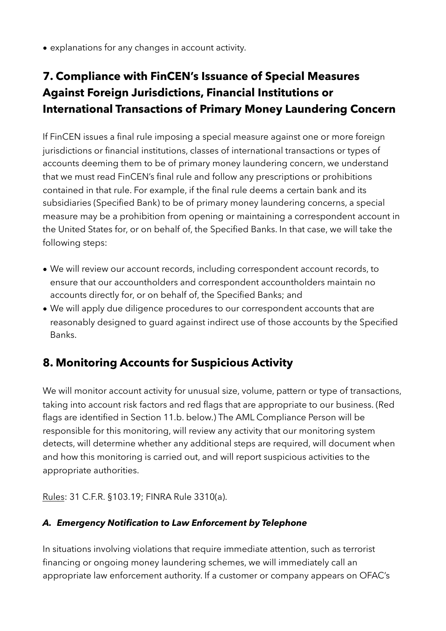• explanations for any changes in account activity.

## **7. Compliance with FinCEN's Issuance of Special Measures Against Foreign Jurisdictions, Financial Institutions or International Transactions of Primary Money Laundering Concern**

If FinCEN issues a final rule imposing a special measure against one or more foreign jurisdictions or financial institutions, classes of international transactions or types of accounts deeming them to be of primary money laundering concern, we understand that we must read FinCEN's final rule and follow any prescriptions or prohibitions contained in that rule. For example, if the final rule deems a certain bank and its subsidiaries (Specified Bank) to be of primary money laundering concerns, a special measure may be a prohibition from opening or maintaining a correspondent account in the United States for, or on behalf of, the Specified Banks. In that case, we will take the following steps:

- We will review our account records, including correspondent account records, to ensure that our accountholders and correspondent accountholders maintain no accounts directly for, or on behalf of, the Specified Banks; and
- We will apply due diligence procedures to our correspondent accounts that are reasonably designed to guard against indirect use of those accounts by the Specified Banks.

## **8. Monitoring Accounts for Suspicious Activity**

We will monitor account activity for unusual size, volume, pattern or type of transactions, taking into account risk factors and red flags that are appropriate to our business. (Red flags are identified in Section 11.b. below.) The AML Compliance Person will be responsible for this monitoring, will review any activity that our monitoring system detects, will determine whether any additional steps are required, will document when and how this monitoring is carried out, and will report suspicious activities to the appropriate authorities.

Rules: 31 C.F.R. §103.19; FINRA Rule 3310(a).

#### *A. Emergency Notification to Law Enforcement by Telephone*

In situations involving violations that require immediate attention, such as terrorist financing or ongoing money laundering schemes, we will immediately call an appropriate law enforcement authority. If a customer or company appears on OFAC's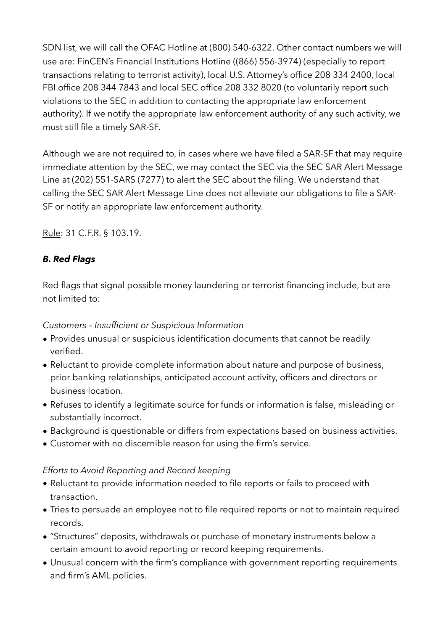SDN list, we will call the OFAC Hotline at (800) 540-6322. Other contact numbers we will use are: FinCEN's Financial Institutions Hotline ((866) 556-3974) (especially to report transactions relating to terrorist activity), local U.S. Attorney's office 208 334 2400, local FBI office 208 344 7843 and local SEC office 208 332 8020 (to voluntarily report such violations to the SEC in addition to contacting the appropriate law enforcement authority). If we notify the appropriate law enforcement authority of any such activity, we must still file a timely SAR-SF.

Although we are not required to, in cases where we have filed a SAR-SF that may require immediate attention by the SEC, we may contact the SEC via the SEC SAR Alert Message Line at (202) 551-SARS (7277) to alert the SEC about the filing. We understand that calling the SEC SAR Alert Message Line does not alleviate our obligations to file a SAR-SF or notify an appropriate law enforcement authority.

Rule: 31 C.F.R. § 103.19.

#### *B. Red Flags*

Red flags that signal possible money laundering or terrorist financing include, but are not limited to:

#### *Customers – Insufficient or Suspicious Information*

- Provides unusual or suspicious identification documents that cannot be readily verified.
- Reluctant to provide complete information about nature and purpose of business, prior banking relationships, anticipated account activity, officers and directors or business location.
- Refuses to identify a legitimate source for funds or information is false, misleading or substantially incorrect.
- Background is questionable or differs from expectations based on business activities.
- Customer with no discernible reason for using the firm's service.

#### *Efforts to Avoid Reporting and Record keeping*

- Reluctant to provide information needed to file reports or fails to proceed with transaction.
- Tries to persuade an employee not to file required reports or not to maintain required records.
- "Structures" deposits, withdrawals or purchase of monetary instruments below a certain amount to avoid reporting or record keeping requirements.
- Unusual concern with the firm's compliance with government reporting requirements and firm's AML policies.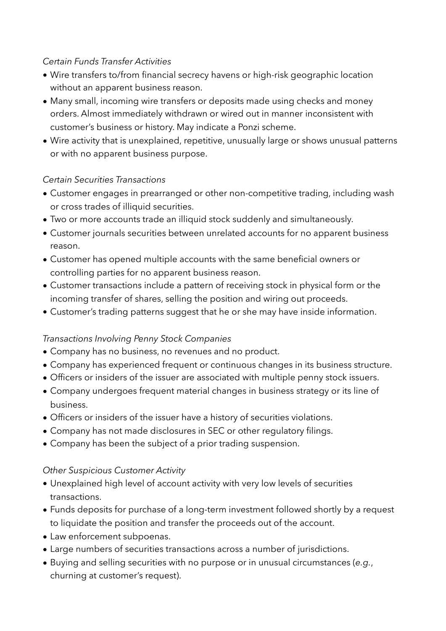#### *Certain Funds Transfer Activities*

- Wire transfers to/from financial secrecy havens or high-risk geographic location without an apparent business reason.
- Many small, incoming wire transfers or deposits made using checks and money orders. Almost immediately withdrawn or wired out in manner inconsistent with customer's business or history. May indicate a Ponzi scheme.
- Wire activity that is unexplained, repetitive, unusually large or shows unusual patterns or with no apparent business purpose.

#### *Certain Securities Transactions*

- Customer engages in prearranged or other non-competitive trading, including wash or cross trades of illiquid securities.
- Two or more accounts trade an illiquid stock suddenly and simultaneously.
- Customer journals securities between unrelated accounts for no apparent business reason.
- Customer has opened multiple accounts with the same beneficial owners or controlling parties for no apparent business reason.
- Customer transactions include a pattern of receiving stock in physical form or the incoming transfer of shares, selling the position and wiring out proceeds.
- Customer's trading patterns suggest that he or she may have inside information.

#### *Transactions Involving Penny Stock Companies*

- Company has no business, no revenues and no product.
- Company has experienced frequent or continuous changes in its business structure.
- Officers or insiders of the issuer are associated with multiple penny stock issuers.
- Company undergoes frequent material changes in business strategy or its line of business.
- Officers or insiders of the issuer have a history of securities violations.
- Company has not made disclosures in SEC or other regulatory filings.
- Company has been the subject of a prior trading suspension.

#### *Other Suspicious Customer Activity*

- Unexplained high level of account activity with very low levels of securities transactions.
- Funds deposits for purchase of a long-term investment followed shortly by a request to liquidate the position and transfer the proceeds out of the account.
- Law enforcement subpoenas.
- Large numbers of securities transactions across a number of jurisdictions.
- Buying and selling securities with no purpose or in unusual circumstances (*e.g.*, churning at customer's request).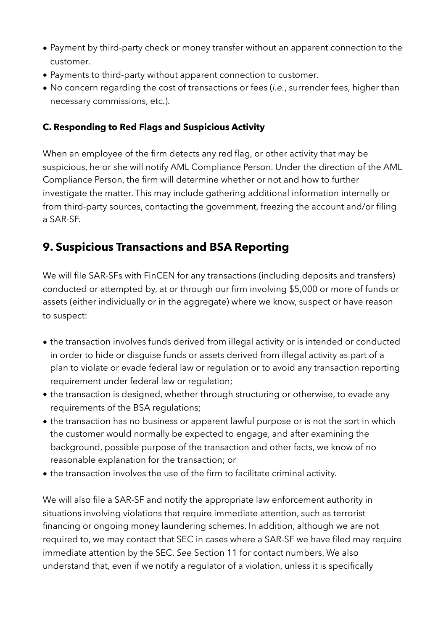- Payment by third-party check or money transfer without an apparent connection to the customer.
- Payments to third-party without apparent connection to customer.
- No concern regarding the cost of transactions or fees (*i.e.*, surrender fees, higher than necessary commissions, etc.).

#### **C. Responding to Red Flags and Suspicious Activity**

When an employee of the firm detects any red flag, or other activity that may be suspicious, he or she will notify AML Compliance Person. Under the direction of the AML Compliance Person, the firm will determine whether or not and how to further investigate the matter. This may include gathering additional information internally or from third-party sources, contacting the government, freezing the account and/or filing a SAR-SF.

## **9. Suspicious Transactions and BSA Reporting**

We will file SAR-SFs with FinCEN for any transactions (including deposits and transfers) conducted or attempted by, at or through our firm involving \$5,000 or more of funds or assets (either individually or in the aggregate) where we know, suspect or have reason to suspect:

- the transaction involves funds derived from illegal activity or is intended or conducted in order to hide or disguise funds or assets derived from illegal activity as part of a plan to violate or evade federal law or regulation or to avoid any transaction reporting requirement under federal law or regulation;
- the transaction is designed, whether through structuring or otherwise, to evade any requirements of the BSA regulations;
- the transaction has no business or apparent lawful purpose or is not the sort in which the customer would normally be expected to engage, and after examining the background, possible purpose of the transaction and other facts, we know of no reasonable explanation for the transaction; or
- the transaction involves the use of the firm to facilitate criminal activity.

We will also file a SAR-SF and notify the appropriate law enforcement authority in situations involving violations that require immediate attention, such as terrorist financing or ongoing money laundering schemes. In addition, although we are not required to, we may contact that SEC in cases where a SAR-SF we have filed may require immediate attention by the SEC. *See* Section 11 for contact numbers. We also understand that, even if we notify a regulator of a violation, unless it is specifically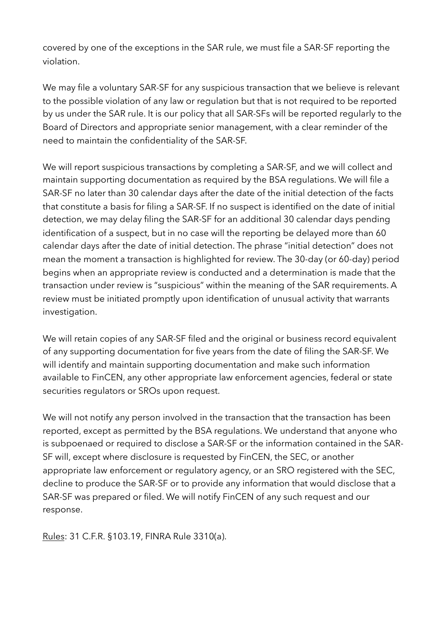covered by one of the exceptions in the SAR rule, we must file a SAR-SF reporting the violation.

We may file a voluntary SAR-SF for any suspicious transaction that we believe is relevant to the possible violation of any law or regulation but that is not required to be reported by us under the SAR rule. It is our policy that all SAR-SFs will be reported regularly to the Board of Directors and appropriate senior management, with a clear reminder of the need to maintain the confidentiality of the SAR-SF.

We will report suspicious transactions by completing a SAR-SF, and we will collect and maintain supporting documentation as required by the BSA regulations. We will file a SAR-SF no later than 30 calendar days after the date of the initial detection of the facts that constitute a basis for filing a SAR-SF. If no suspect is identified on the date of initial detection, we may delay filing the SAR-SF for an additional 30 calendar days pending identification of a suspect, but in no case will the reporting be delayed more than 60 calendar days after the date of initial detection. The phrase "initial detection" does not mean the moment a transaction is highlighted for review. The 30-day (or 60-day) period begins when an appropriate review is conducted and a determination is made that the transaction under review is "suspicious" within the meaning of the SAR requirements. A review must be initiated promptly upon identification of unusual activity that warrants investigation.

We will retain copies of any SAR-SF filed and the original or business record equivalent of any supporting documentation for five years from the date of filing the SAR-SF. We will identify and maintain supporting documentation and make such information available to FinCEN, any other appropriate law enforcement agencies, federal or state securities regulators or SROs upon request.

We will not notify any person involved in the transaction that the transaction has been reported, except as permitted by the BSA regulations. We understand that anyone who is subpoenaed or required to disclose a SAR-SF or the information contained in the SAR-SF will, except where disclosure is requested by FinCEN, the SEC, or another appropriate law enforcement or regulatory agency, or an SRO registered with the SEC, decline to produce the SAR-SF or to provide any information that would disclose that a SAR-SF was prepared or filed. We will notify FinCEN of any such request and our response.

Rules: 31 C.F.R. §103.19, FINRA Rule 3310(a).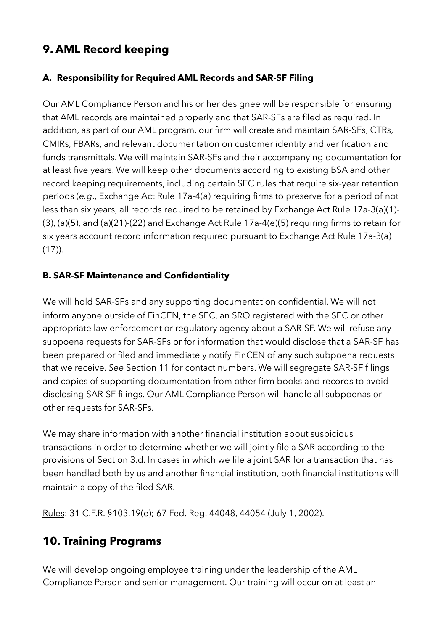## **9. AML Record keeping**

#### **A. Responsibility for Required AML Records and SAR-SF Filing**

Our AML Compliance Person and his or her designee will be responsible for ensuring that AML records are maintained properly and that SAR-SFs are filed as required. In addition, as part of our AML program, our firm will create and maintain SAR-SFs, CTRs, CMIRs, FBARs, and relevant documentation on customer identity and verification and funds transmittals. We will maintain SAR-SFs and their accompanying documentation for at least five years. We will keep other documents according to existing BSA and other record keeping requirements, including certain SEC rules that require six-year retention periods (*e.g*., Exchange Act Rule 17a-4(a) requiring firms to preserve for a period of not less than six years, all records required to be retained by Exchange Act Rule 17a-3(a)(1)- (3), (a)(5), and (a)(21)-(22) and Exchange Act Rule 17a-4(e)(5) requiring firms to retain for six years account record information required pursuant to Exchange Act Rule 17a-3(a)  $(17)$ ).

#### **B. SAR-SF Maintenance and Confidentiality**

We will hold SAR-SFs and any supporting documentation confidential. We will not inform anyone outside of FinCEN, the SEC, an SRO registered with the SEC or other appropriate law enforcement or regulatory agency about a SAR-SF. We will refuse any subpoena requests for SAR-SFs or for information that would disclose that a SAR-SF has been prepared or filed and immediately notify FinCEN of any such subpoena requests that we receive. *See* Section 11 for contact numbers. We will segregate SAR-SF filings and copies of supporting documentation from other firm books and records to avoid disclosing SAR-SF filings. Our AML Compliance Person will handle all subpoenas or other requests for SAR-SFs.

We may share information with another financial institution about suspicious transactions in order to determine whether we will jointly file a SAR according to the provisions of Section 3.d. In cases in which we file a joint SAR for a transaction that has been handled both by us and another financial institution, both financial institutions will maintain a copy of the filed SAR.

Rules: 31 C.F.R. §103.19(e); 67 Fed. Reg. 44048, 44054 (July 1, 2002).

## **10. Training Programs**

We will develop ongoing employee training under the leadership of the AML Compliance Person and senior management. Our training will occur on at least an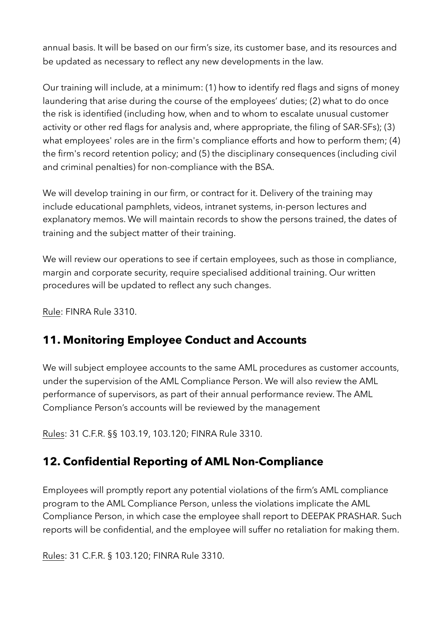annual basis. It will be based on our firm's size, its customer base, and its resources and be updated as necessary to reflect any new developments in the law.

Our training will include, at a minimum: (1) how to identify red flags and signs of money laundering that arise during the course of the employees' duties; (2) what to do once the risk is identified (including how, when and to whom to escalate unusual customer activity or other red flags for analysis and, where appropriate, the filing of SAR-SFs); (3) what employees' roles are in the firm's compliance efforts and how to perform them; (4) the firm's record retention policy; and (5) the disciplinary consequences (including civil and criminal penalties) for non-compliance with the BSA.

We will develop training in our firm, or contract for it. Delivery of the training may include educational pamphlets, videos, intranet systems, in-person lectures and explanatory memos. We will maintain records to show the persons trained, the dates of training and the subject matter of their training.

We will review our operations to see if certain employees, such as those in compliance, margin and corporate security, require specialised additional training. Our written procedures will be updated to reflect any such changes.

Rule: FINRA Rule 3310.

## **11. Monitoring Employee Conduct and Accounts**

We will subject employee accounts to the same AML procedures as customer accounts, under the supervision of the AML Compliance Person. We will also review the AML performance of supervisors, as part of their annual performance review. The AML Compliance Person's accounts will be reviewed by the management

Rules: 31 C.F.R. §§ 103.19, 103.120; FINRA Rule 3310.

## **12. Confidential Reporting of AML Non-Compliance**

Employees will promptly report any potential violations of the firm's AML compliance program to the AML Compliance Person, unless the violations implicate the AML Compliance Person, in which case the employee shall report to DEEPAK PRASHAR. Such reports will be confidential, and the employee will suffer no retaliation for making them.

Rules: 31 C.F.R. § 103.120; FINRA Rule 3310.